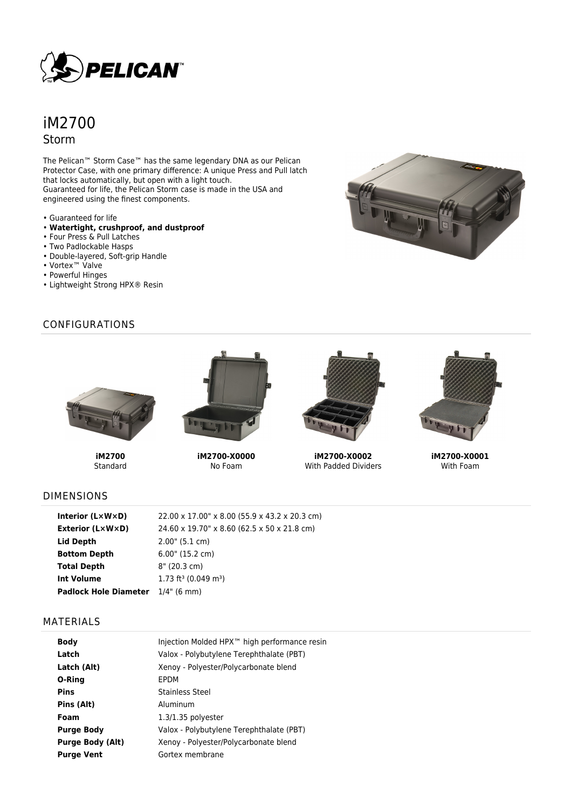

# iM2700 Storm

The Pelican™ Storm Case™ has the same legendary DNA as our Pelican Protector Case, with one primary difference: A unique Press and Pull latch that locks automatically, but open with a light touch. Guaranteed for life, the Pelican Storm case is made in the USA and engineered using the finest components.

- Guaranteed for life
- **Watertight, crushproof, and dustproof**
- Four Press & Pull Latches
- Two Padlockable Hasps
- Double-layered, Soft-grip Handle
- Vortex™ Valve
- Powerful Hinges
- Lightweight Strong HPX® Resin

**iM2700** Standard

## CONFIGURATIONS



**iM2700-X0000** No Foam



**iM2700-X0002** With Padded Dividers



**iM2700-X0001** With Foam

#### DIMENSIONS

| Interior (LxWxD)             | 22.00 x 17.00" x 8.00 (55.9 x 43.2 x 20.3 cm) |
|------------------------------|-----------------------------------------------|
| Exterior (L×W×D)             | 24.60 x 19.70" x 8.60 (62.5 x 50 x 21.8 cm)   |
| Lid Depth                    | 2.00" (5.1 cm)                                |
| <b>Bottom Depth</b>          | $6.00$ " (15.2 cm)                            |
| <b>Total Depth</b>           | $8''$ (20.3 cm)                               |
| <b>Int Volume</b>            | 1.73 ft <sup>3</sup> (0.049 m <sup>3</sup> )  |
| <b>Padlock Hole Diameter</b> | $1/4"$ (6 mm)                                 |

## MATERIALS

| <b>Body</b>             | Injection Molded HPX™ high performance resin |
|-------------------------|----------------------------------------------|
| Latch                   | Valox - Polybutylene Terephthalate (PBT)     |
| Latch (Alt)             | Xenoy - Polyester/Polycarbonate blend        |
| O-Ring                  | EPDM                                         |
| <b>Pins</b>             | <b>Stainless Steel</b>                       |
| Pins (Alt)              | Aluminum                                     |
| Foam                    | $1.3/1.35$ polyester                         |
| <b>Purge Body</b>       | Valox - Polybutylene Terephthalate (PBT)     |
| <b>Purge Body (Alt)</b> | Xenoy - Polyester/Polycarbonate blend        |
| <b>Purge Vent</b>       | Gortex membrane                              |